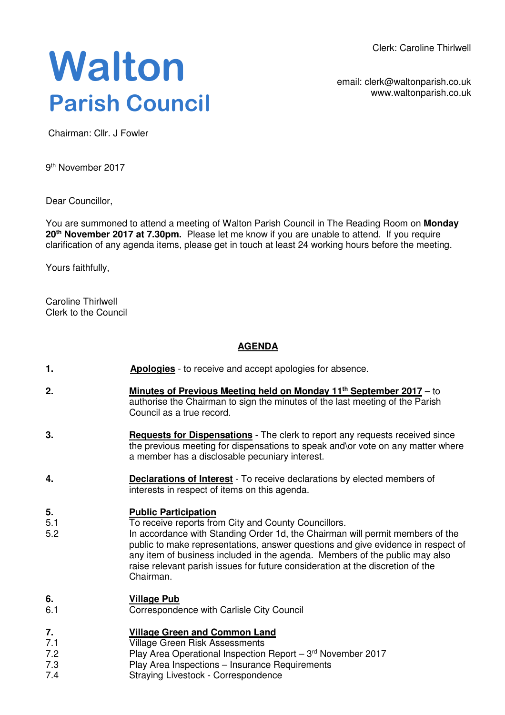Clerk: Caroline Thirlwell

# **Walton Parish Council**

email: clerk@waltonparish.co.uk www.waltonparish.co.uk

Chairman: Cllr. J Fowler

9<sup>th</sup> November 2017

Dear Councillor,

You are summoned to attend a meeting of Walton Parish Council in The Reading Room on **Monday 20th November 2017 at 7.30pm.** Please let me know if you are unable to attend. If you require clarification of any agenda items, please get in touch at least 24 working hours before the meeting.

Yours faithfully,

Caroline Thirlwell Clerk to the Council

#### **AGENDA**

- **1. Apologies** to receive and accept apologies for absence.
- **2. Minutes of Previous Meeting held on Monday 11th September 2017** to authorise the Chairman to sign the minutes of the last meeting of the Parish Council as a true record.
- **3. Requests for Dispensations** The clerk to report any requests received since the previous meeting for dispensations to speak and\or vote on any matter where a member has a disclosable pecuniary interest.
- **4. Declarations of Interest** To receive declarations by elected members of interests in respect of items on this agenda.

#### **5. Public Participation**

- 5.1 To receive reports from City and County Councillors.
- 5.2 In accordance with Standing Order 1d, the Chairman will permit members of the public to make representations, answer questions and give evidence in respect of any item of business included in the agenda. Members of the public may also raise relevant parish issues for future consideration at the discretion of the Chairman.

## **6. Village Pub**

6.1 Correspondence with Carlisle City Council

#### **7. Village Green and Common Land**

- 7.1 Village Green Risk Assessments
- 7.2 7.3 Play Area Operational Inspection Report  $-3<sup>rd</sup>$  November 2017
	- Play Area Inspections Insurance Requirements
- 7.4 Straying Livestock - Correspondence